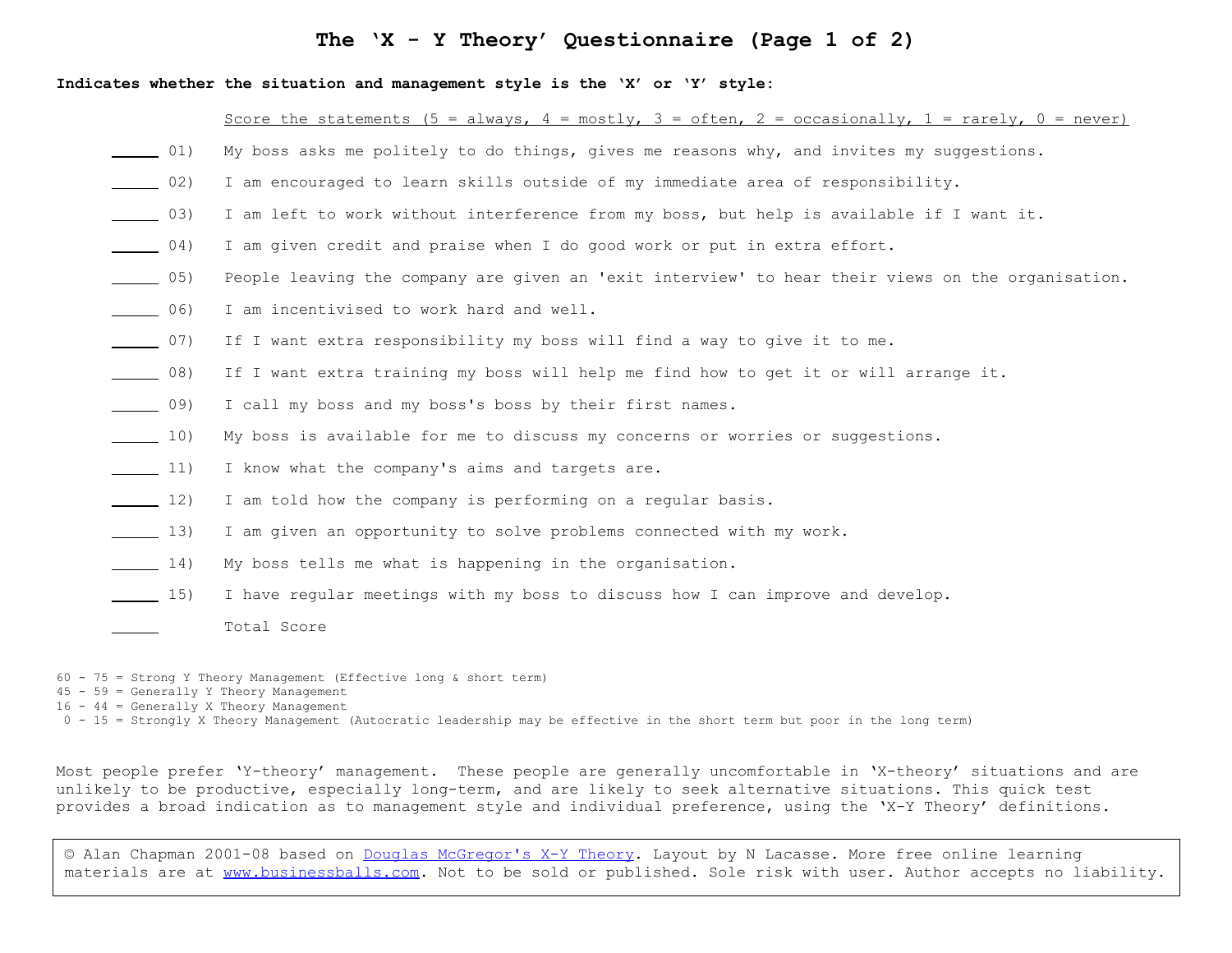# **The 'X - Y Theory' Questionnaire (Page 1 of 2)**

#### **Indicates whether the situation and management style is the 'X' or 'Y' style:**

### Score the statements (5 = always, 4 = mostly, 3 = often, 2 = occasionally, 1 = rarely, 0 = never)

- 01) My boss asks me politely to do things, gives me reasons why, and invites my suggestions.
- 02) I am encouraged to learn skills outside of my immediate area of responsibility.
- \_03) I am left to work without interference from my boss, but help is available if I want it.
- \_04) I am given credit and praise when I do good work or put in extra effort.
- \_05) People leaving the company are given an 'exit interview' to hear their views on the organisation.
- \_06) I am incentivised to work hard and well.
- \_07) If I want extra responsibility my boss will find a way to give it to me.
- \_08) If I want extra training my boss will help me find how to get it or will arrange it.
- \_09) I call my boss and my boss's boss by their first names.
- 10) My boss is available for me to discuss my concerns or worries or suggestions.
- 11) I know what the company's aims and targets are.
- 12) I am told how the company is performing on a regular basis.
- 13) I am given an opportunity to solve problems connected with my work.
- \_14) My boss tells me what is happening in the organisation.
- 15) I have regular meetings with my boss to discuss how I can improve and develop.
	- \_ Total Score

60 - 75 = Strong Y Theory Management (Effective long & short term)

- 45 59 = Generally Y Theory Management
- $16 44 =$  Generally X Theory Management
- 0 15 = Strongly X Theory Management (Autocratic leadership may be effective in the short term but poor in the long term)

Most people prefer 'Y-theory' management. These people are generally uncomfortable in 'X-theory' situations and are unlikely to be productive, especially long-term, and are likely to seek alternative situations. This quick test provides a broad indication as to management style and individual preference, using the 'X-Y Theory' definitions.

© Alan Chapman 2001-08 based on [Douglas McGregor's X-Y Theory.](http://www.businessballs.com/mcgregor.htm) Layout by N Lacasse. More free online learning materials are at [www.businessballs.com.](http://www.businessballs.com/) Not to be sold or published. Sole risk with user. Author accepts no liability.